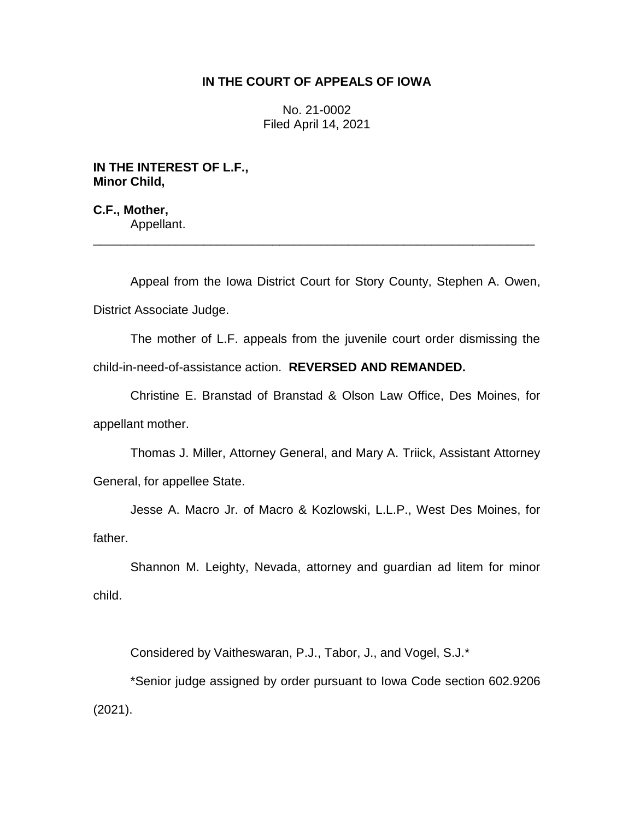# **IN THE COURT OF APPEALS OF IOWA**

No. 21-0002 Filed April 14, 2021

**IN THE INTEREST OF L.F., Minor Child,**

**C.F., Mother,** Appellant.

Appeal from the Iowa District Court for Story County, Stephen A. Owen, District Associate Judge.

\_\_\_\_\_\_\_\_\_\_\_\_\_\_\_\_\_\_\_\_\_\_\_\_\_\_\_\_\_\_\_\_\_\_\_\_\_\_\_\_\_\_\_\_\_\_\_\_\_\_\_\_\_\_\_\_\_\_\_\_\_\_\_\_

The mother of L.F. appeals from the juvenile court order dismissing the child-in-need-of-assistance action. **REVERSED AND REMANDED.**

Christine E. Branstad of Branstad & Olson Law Office, Des Moines, for appellant mother.

Thomas J. Miller, Attorney General, and Mary A. Triick, Assistant Attorney General, for appellee State.

Jesse A. Macro Jr. of Macro & Kozlowski, L.L.P., West Des Moines, for father.

Shannon M. Leighty, Nevada, attorney and guardian ad litem for minor child.

Considered by Vaitheswaran, P.J., Tabor, J., and Vogel, S.J.\*

\*Senior judge assigned by order pursuant to Iowa Code section 602.9206 (2021).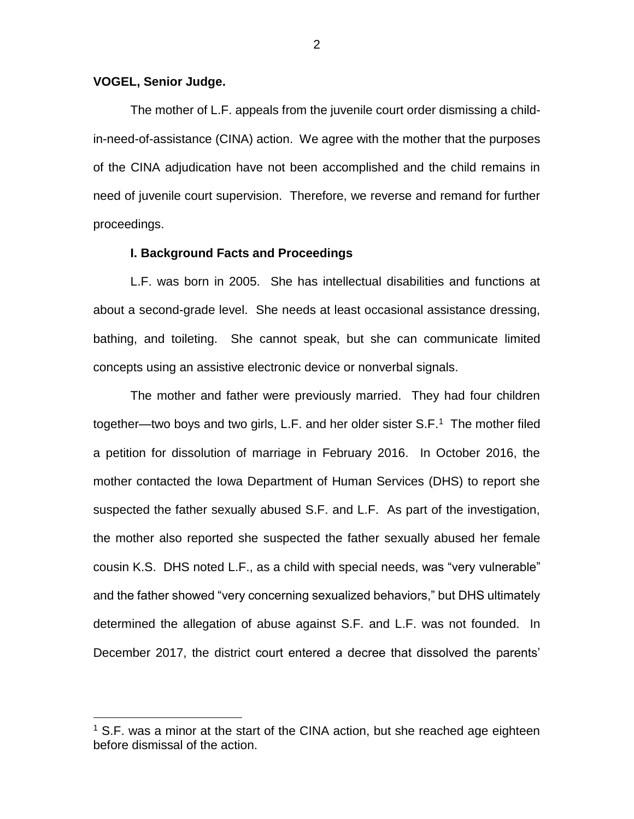## **VOGEL, Senior Judge.**

 $\overline{a}$ 

The mother of L.F. appeals from the juvenile court order dismissing a childin-need-of-assistance (CINA) action. We agree with the mother that the purposes of the CINA adjudication have not been accomplished and the child remains in need of juvenile court supervision. Therefore, we reverse and remand for further proceedings.

### **I. Background Facts and Proceedings**

L.F. was born in 2005. She has intellectual disabilities and functions at about a second-grade level. She needs at least occasional assistance dressing, bathing, and toileting. She cannot speak, but she can communicate limited concepts using an assistive electronic device or nonverbal signals.

The mother and father were previously married. They had four children together—two boys and two girls, L.F. and her older sister S.F.<sup>1</sup> The mother filed a petition for dissolution of marriage in February 2016. In October 2016, the mother contacted the Iowa Department of Human Services (DHS) to report she suspected the father sexually abused S.F. and L.F. As part of the investigation, the mother also reported she suspected the father sexually abused her female cousin K.S. DHS noted L.F., as a child with special needs, was "very vulnerable" and the father showed "very concerning sexualized behaviors," but DHS ultimately determined the allegation of abuse against S.F. and L.F. was not founded. In December 2017, the district court entered a decree that dissolved the parents'

 $1$  S.F. was a minor at the start of the CINA action, but she reached age eighteen before dismissal of the action.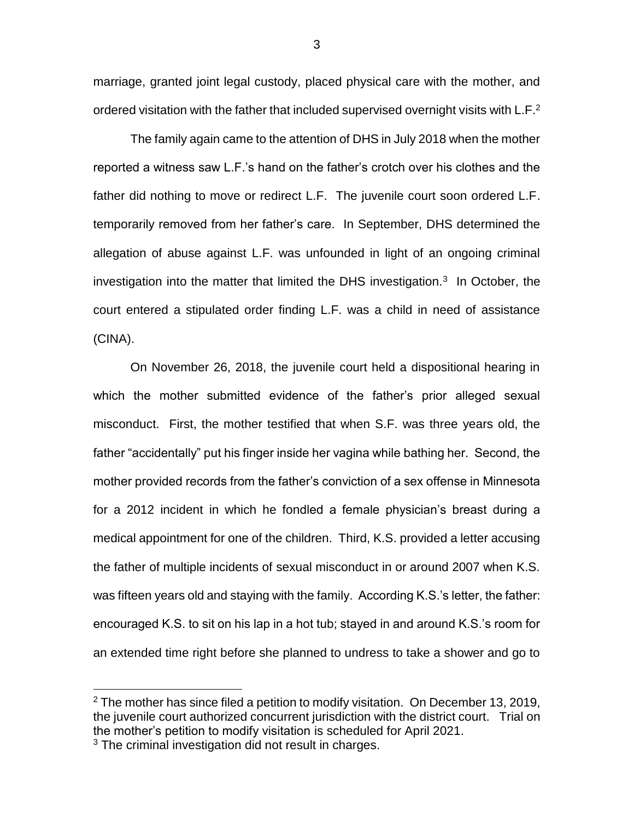marriage, granted joint legal custody, placed physical care with the mother, and ordered visitation with the father that included supervised overnight visits with L.F.<sup>2</sup>

The family again came to the attention of DHS in July 2018 when the mother reported a witness saw L.F.'s hand on the father's crotch over his clothes and the father did nothing to move or redirect L.F. The juvenile court soon ordered L.F. temporarily removed from her father's care. In September, DHS determined the allegation of abuse against L.F. was unfounded in light of an ongoing criminal investigation into the matter that limited the DHS investigation.<sup>3</sup> In October, the court entered a stipulated order finding L.F. was a child in need of assistance (CINA).

On November 26, 2018, the juvenile court held a dispositional hearing in which the mother submitted evidence of the father's prior alleged sexual misconduct. First, the mother testified that when S.F. was three years old, the father "accidentally" put his finger inside her vagina while bathing her. Second, the mother provided records from the father's conviction of a sex offense in Minnesota for a 2012 incident in which he fondled a female physician's breast during a medical appointment for one of the children. Third, K.S. provided a letter accusing the father of multiple incidents of sexual misconduct in or around 2007 when K.S. was fifteen years old and staying with the family. According K.S.'s letter, the father: encouraged K.S. to sit on his lap in a hot tub; stayed in and around K.S.'s room for an extended time right before she planned to undress to take a shower and go to

 $\overline{a}$ 

 $2$  The mother has since filed a petition to modify visitation. On December 13, 2019, the juvenile court authorized concurrent jurisdiction with the district court. Trial on the mother's petition to modify visitation is scheduled for April 2021. <sup>3</sup> The criminal investigation did not result in charges.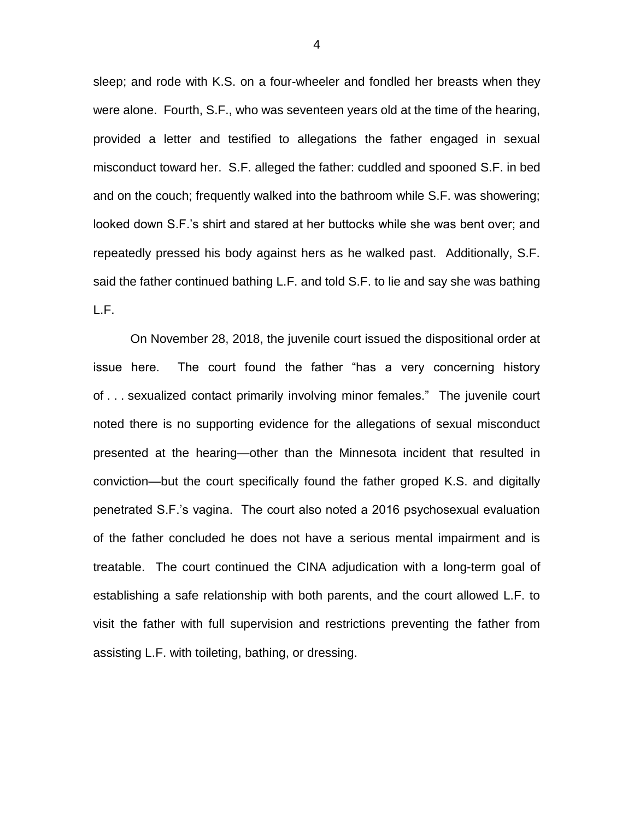sleep; and rode with K.S. on a four-wheeler and fondled her breasts when they were alone. Fourth, S.F., who was seventeen years old at the time of the hearing, provided a letter and testified to allegations the father engaged in sexual misconduct toward her. S.F. alleged the father: cuddled and spooned S.F. in bed and on the couch; frequently walked into the bathroom while S.F. was showering; looked down S.F.'s shirt and stared at her buttocks while she was bent over; and repeatedly pressed his body against hers as he walked past. Additionally, S.F. said the father continued bathing L.F. and told S.F. to lie and say she was bathing L.F.

On November 28, 2018, the juvenile court issued the dispositional order at issue here. The court found the father "has a very concerning history of . . . sexualized contact primarily involving minor females." The juvenile court noted there is no supporting evidence for the allegations of sexual misconduct presented at the hearing—other than the Minnesota incident that resulted in conviction—but the court specifically found the father groped K.S. and digitally penetrated S.F.'s vagina. The court also noted a 2016 psychosexual evaluation of the father concluded he does not have a serious mental impairment and is treatable. The court continued the CINA adjudication with a long-term goal of establishing a safe relationship with both parents, and the court allowed L.F. to visit the father with full supervision and restrictions preventing the father from assisting L.F. with toileting, bathing, or dressing.

4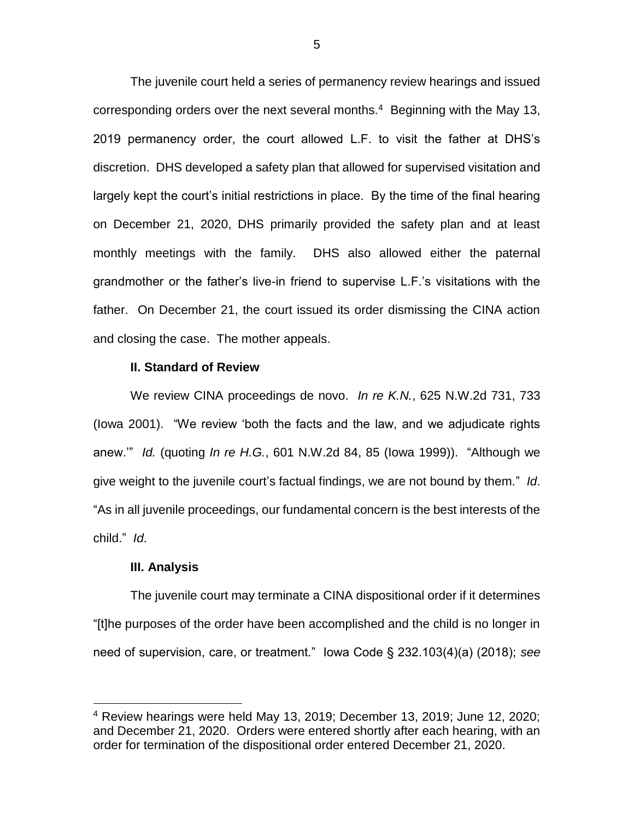The juvenile court held a series of permanency review hearings and issued corresponding orders over the next several months.<sup>4</sup> Beginning with the May 13, 2019 permanency order, the court allowed L.F. to visit the father at DHS's discretion. DHS developed a safety plan that allowed for supervised visitation and largely kept the court's initial restrictions in place. By the time of the final hearing on December 21, 2020, DHS primarily provided the safety plan and at least monthly meetings with the family. DHS also allowed either the paternal grandmother or the father's live-in friend to supervise L.F.'s visitations with the father. On December 21, the court issued its order dismissing the CINA action and closing the case. The mother appeals.

#### **II. Standard of Review**

We review CINA proceedings de novo. *In re K.N.*, 625 N.W.2d 731, 733 (Iowa 2001). "We review 'both the facts and the law, and we adjudicate rights anew.'" *Id.* (quoting *In re H.G.*, 601 N.W.2d 84, 85 (Iowa 1999)). "Although we give weight to the juvenile court's factual findings, we are not bound by them." *Id*. "As in all juvenile proceedings, our fundamental concern is the best interests of the child." *Id*.

## **III. Analysis**

 $\overline{a}$ 

The juvenile court may terminate a CINA dispositional order if it determines "[t]he purposes of the order have been accomplished and the child is no longer in need of supervision, care, or treatment." Iowa Code § 232.103(4)(a) (2018); *see* 

<sup>4</sup> Review hearings were held May 13, 2019; December 13, 2019; June 12, 2020; and December 21, 2020. Orders were entered shortly after each hearing, with an order for termination of the dispositional order entered December 21, 2020.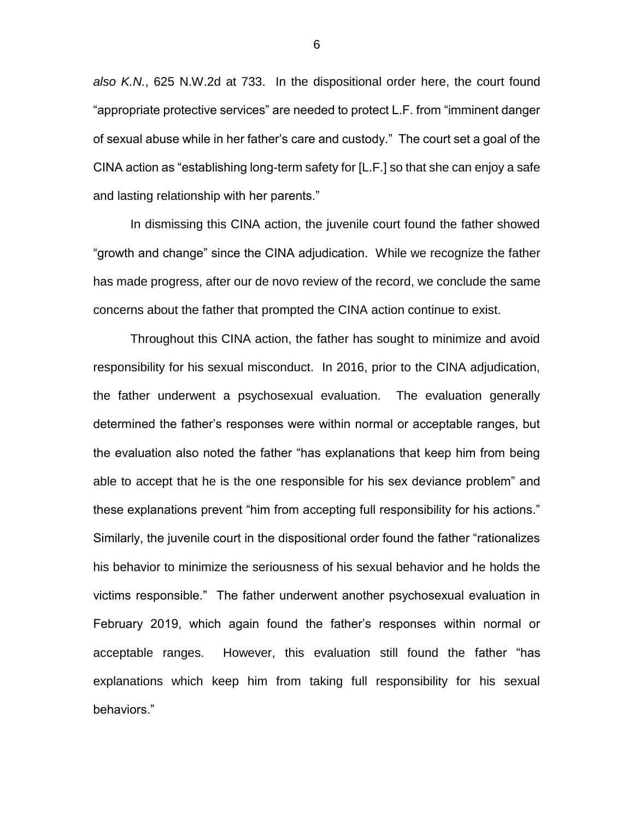*also K.N.*, 625 N.W.2d at 733. In the dispositional order here, the court found "appropriate protective services" are needed to protect L.F. from "imminent danger of sexual abuse while in her father's care and custody." The court set a goal of the CINA action as "establishing long-term safety for [L.F.] so that she can enjoy a safe and lasting relationship with her parents."

In dismissing this CINA action, the juvenile court found the father showed "growth and change" since the CINA adjudication. While we recognize the father has made progress, after our de novo review of the record, we conclude the same concerns about the father that prompted the CINA action continue to exist.

Throughout this CINA action, the father has sought to minimize and avoid responsibility for his sexual misconduct. In 2016, prior to the CINA adjudication, the father underwent a psychosexual evaluation. The evaluation generally determined the father's responses were within normal or acceptable ranges, but the evaluation also noted the father "has explanations that keep him from being able to accept that he is the one responsible for his sex deviance problem" and these explanations prevent "him from accepting full responsibility for his actions." Similarly, the juvenile court in the dispositional order found the father "rationalizes his behavior to minimize the seriousness of his sexual behavior and he holds the victims responsible." The father underwent another psychosexual evaluation in February 2019, which again found the father's responses within normal or acceptable ranges. However, this evaluation still found the father "has explanations which keep him from taking full responsibility for his sexual behaviors."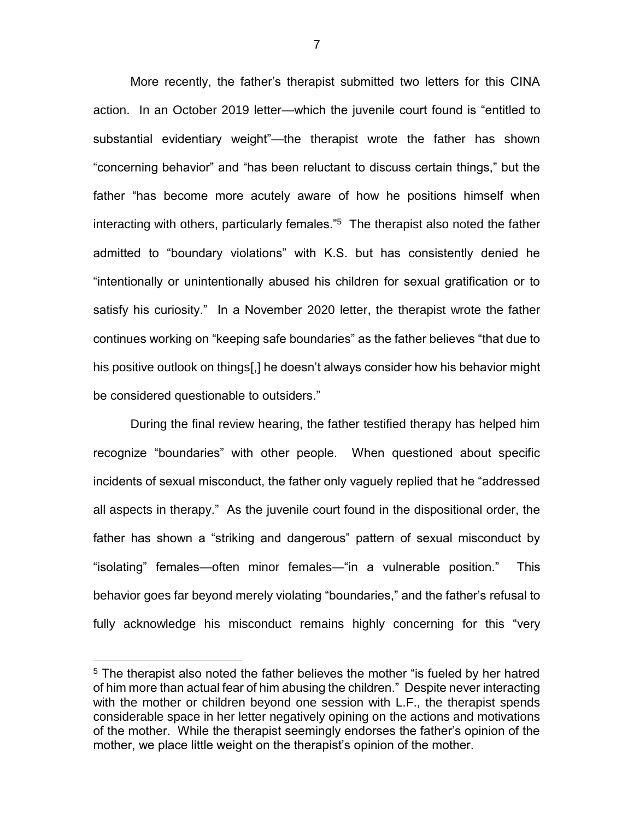More recently, the father's therapist submitted two letters for this CINA action. In an October 2019 letter—which the juvenile court found is "entitled to substantial evidentiary weight"—the therapist wrote the father has shown "concerning behavior" and "has been reluctant to discuss certain things," but the father "has become more acutely aware of how he positions himself when interacting with others, particularly females."<sup>5</sup> The therapist also noted the father admitted to "boundary violations" with K.S. but has consistently denied he "intentionally or unintentionally abused his children for sexual gratification or to satisfy his curiosity." In a November 2020 letter, the therapist wrote the father continues working on "keeping safe boundaries" as the father believes "that due to his positive outlook on things[,] he doesn't always consider how his behavior might be considered questionable to outsiders."

During the final review hearing, the father testified therapy has helped him recognize "boundaries" with other people. When questioned about specific incidents of sexual misconduct, the father only vaguely replied that he "addressed all aspects in therapy." As the juvenile court found in the dispositional order, the father has shown a "striking and dangerous" pattern of sexual misconduct by "isolating" females—often minor females—"in a vulnerable position." This behavior goes far beyond merely violating "boundaries," and the father's refusal to fully acknowledge his misconduct remains highly concerning for this "very

 $\overline{a}$ 

<sup>&</sup>lt;sup>5</sup> The therapist also noted the father believes the mother "is fueled by her hatred of him more than actual fear of him abusing the children." Despite never interacting with the mother or children beyond one session with L.F., the therapist spends considerable space in her letter negatively opining on the actions and motivations of the mother. While the therapist seemingly endorses the father's opinion of the mother, we place little weight on the therapist's opinion of the mother.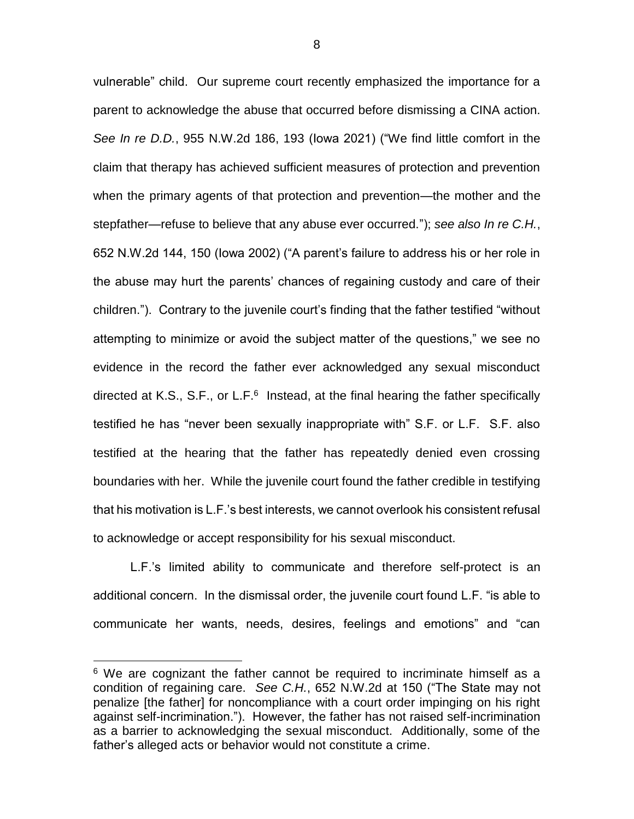vulnerable" child. Our supreme court recently emphasized the importance for a parent to acknowledge the abuse that occurred before dismissing a CINA action. *See In re D.D.*, 955 N.W.2d 186, 193 (Iowa 2021) ("We find little comfort in the claim that therapy has achieved sufficient measures of protection and prevention when the primary agents of that protection and prevention—the mother and the stepfather—refuse to believe that any abuse ever occurred."); *see also In re C.H.*, 652 N.W.2d 144, 150 (Iowa 2002) ("A parent's failure to address his or her role in the abuse may hurt the parents' chances of regaining custody and care of their children."). Contrary to the juvenile court's finding that the father testified "without attempting to minimize or avoid the subject matter of the questions," we see no evidence in the record the father ever acknowledged any sexual misconduct directed at K.S., S.F., or L.F. $6$  Instead, at the final hearing the father specifically testified he has "never been sexually inappropriate with" S.F. or L.F. S.F. also testified at the hearing that the father has repeatedly denied even crossing boundaries with her. While the juvenile court found the father credible in testifying that his motivation is L.F.'s best interests, we cannot overlook his consistent refusal to acknowledge or accept responsibility for his sexual misconduct.

L.F.'s limited ability to communicate and therefore self-protect is an additional concern. In the dismissal order, the juvenile court found L.F. "is able to communicate her wants, needs, desires, feelings and emotions" and "can

 $\overline{a}$ 

<sup>&</sup>lt;sup>6</sup> We are cognizant the father cannot be required to incriminate himself as a condition of regaining care. *See C.H.*, 652 N.W.2d at 150 ("The State may not penalize [the father] for noncompliance with a court order impinging on his right against self-incrimination."). However, the father has not raised self-incrimination as a barrier to acknowledging the sexual misconduct. Additionally, some of the father's alleged acts or behavior would not constitute a crime.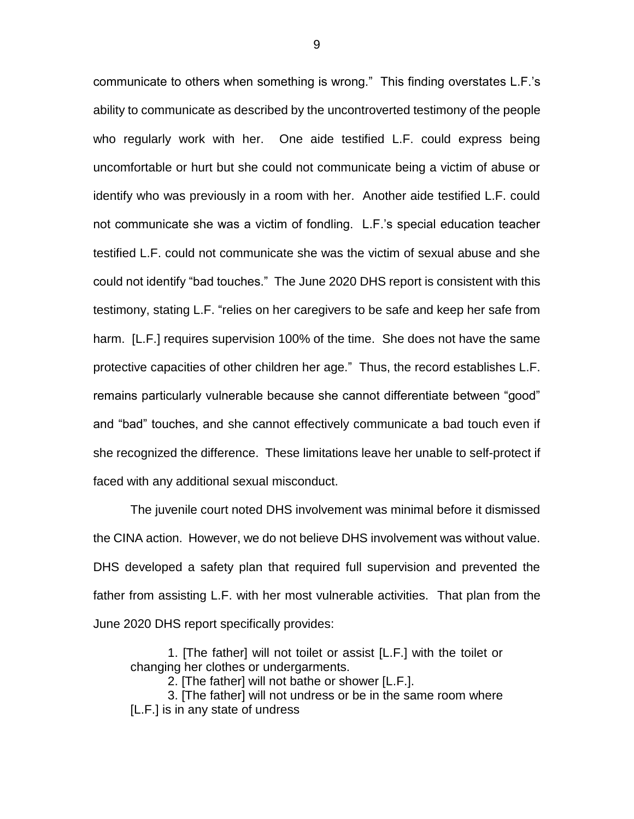communicate to others when something is wrong." This finding overstates L.F.'s ability to communicate as described by the uncontroverted testimony of the people who regularly work with her. One aide testified L.F. could express being uncomfortable or hurt but she could not communicate being a victim of abuse or identify who was previously in a room with her. Another aide testified L.F. could not communicate she was a victim of fondling. L.F.'s special education teacher testified L.F. could not communicate she was the victim of sexual abuse and she could not identify "bad touches." The June 2020 DHS report is consistent with this testimony, stating L.F. "relies on her caregivers to be safe and keep her safe from harm. [L.F.] requires supervision 100% of the time. She does not have the same protective capacities of other children her age." Thus, the record establishes L.F. remains particularly vulnerable because she cannot differentiate between "good" and "bad" touches, and she cannot effectively communicate a bad touch even if she recognized the difference. These limitations leave her unable to self-protect if faced with any additional sexual misconduct.

The juvenile court noted DHS involvement was minimal before it dismissed the CINA action. However, we do not believe DHS involvement was without value. DHS developed a safety plan that required full supervision and prevented the father from assisting L.F. with her most vulnerable activities. That plan from the June 2020 DHS report specifically provides:

1. [The father] will not toilet or assist [L.F.] with the toilet or changing her clothes or undergarments.

2. [The father] will not bathe or shower [L.F.].

3. [The father] will not undress or be in the same room where [L.F.] is in any state of undress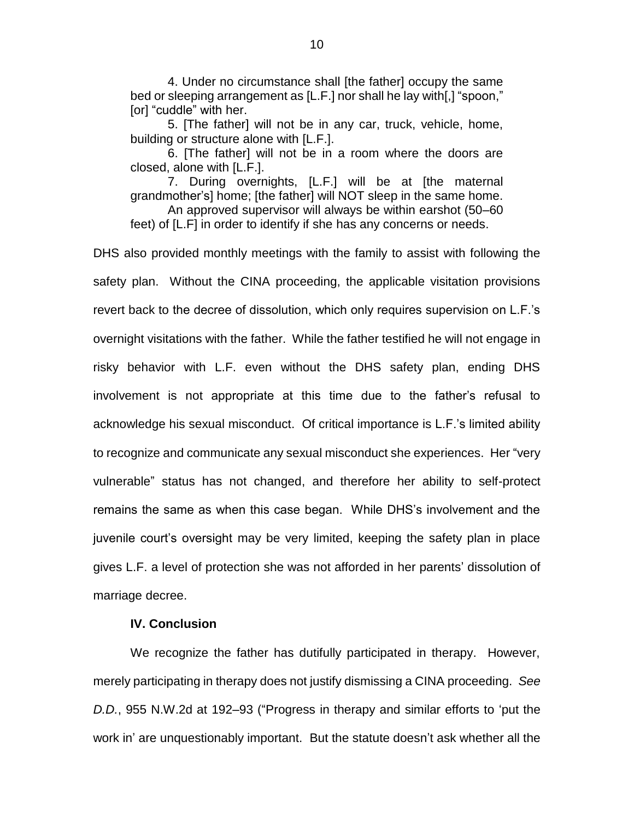4. Under no circumstance shall [the father] occupy the same bed or sleeping arrangement as [L.F.] nor shall he lay with[,] "spoon," [or] "cuddle" with her.

5. [The father] will not be in any car, truck, vehicle, home, building or structure alone with [L.F.].

6. [The father] will not be in a room where the doors are closed, alone with [L.F.].

7. During overnights, [L.F.] will be at [the maternal grandmother's] home; [the father] will NOT sleep in the same home.

An approved supervisor will always be within earshot (50–60 feet) of [L.F] in order to identify if she has any concerns or needs.

DHS also provided monthly meetings with the family to assist with following the safety plan. Without the CINA proceeding, the applicable visitation provisions revert back to the decree of dissolution, which only requires supervision on L.F.'s overnight visitations with the father. While the father testified he will not engage in risky behavior with L.F. even without the DHS safety plan, ending DHS involvement is not appropriate at this time due to the father's refusal to acknowledge his sexual misconduct. Of critical importance is L.F.'s limited ability to recognize and communicate any sexual misconduct she experiences. Her "very vulnerable" status has not changed, and therefore her ability to self-protect remains the same as when this case began. While DHS's involvement and the juvenile court's oversight may be very limited, keeping the safety plan in place gives L.F. a level of protection she was not afforded in her parents' dissolution of marriage decree.

## **IV. Conclusion**

We recognize the father has dutifully participated in therapy. However, merely participating in therapy does not justify dismissing a CINA proceeding. *See D.D.*, 955 N.W.2d at 192–93 ("Progress in therapy and similar efforts to 'put the work in' are unquestionably important. But the statute doesn't ask whether all the